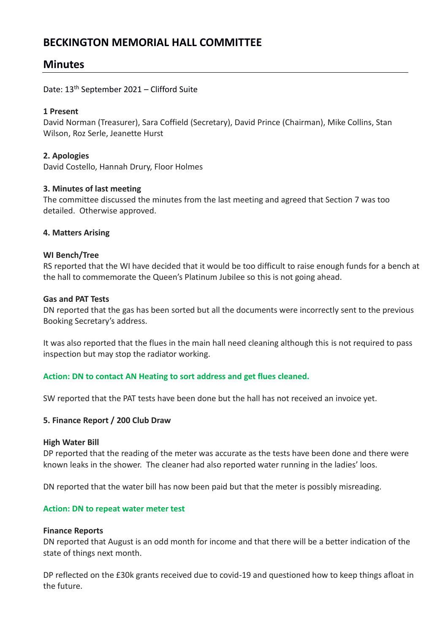# **BECKINGTON MEMORIAL HALL COMMITTEE**

# **Minutes**

## Date: 13th September 2021 – Clifford Suite

## **1 Present**

David Norman (Treasurer), Sara Coffield (Secretary), David Prince (Chairman), Mike Collins, Stan Wilson, Roz Serle, Jeanette Hurst

## **2. Apologies**

David Costello, Hannah Drury, Floor Holmes

## **3. Minutes of last meeting**

The committee discussed the minutes from the last meeting and agreed that Section 7 was too detailed. Otherwise approved.

## **4. Matters Arising**

## **WI Bench/Tree**

RS reported that the WI have decided that it would be too difficult to raise enough funds for a bench at the hall to commemorate the Queen's Platinum Jubilee so this is not going ahead.

## **Gas and PAT Tests**

DN reported that the gas has been sorted but all the documents were incorrectly sent to the previous Booking Secretary's address.

It was also reported that the flues in the main hall need cleaning although this is not required to pass inspection but may stop the radiator working.

## **Action: DN to contact AN Heating to sort address and get flues cleaned.**

SW reported that the PAT tests have been done but the hall has not received an invoice yet.

## **5. Finance Report / 200 Club Draw**

#### **High Water Bill**

DP reported that the reading of the meter was accurate as the tests have been done and there were known leaks in the shower. The cleaner had also reported water running in the ladies' loos.

DN reported that the water bill has now been paid but that the meter is possibly misreading.

## **Action: DN to repeat water meter test**

#### **Finance Reports**

DN reported that August is an odd month for income and that there will be a better indication of the state of things next month.

DP reflected on the £30k grants received due to covid-19 and questioned how to keep things afloat in the future.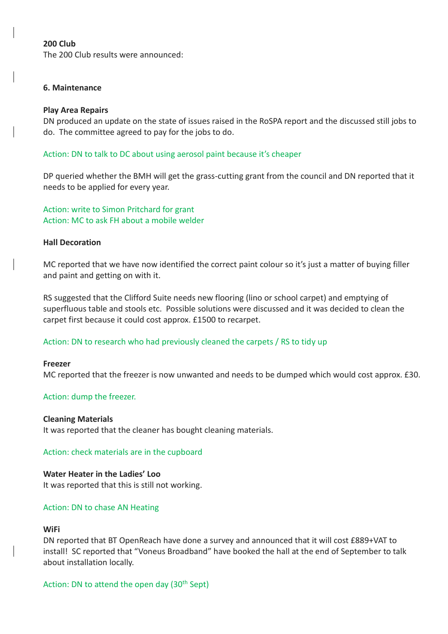## **200 Club**

The 200 Club results were announced:

#### **6. Maintenance**

#### **Play Area Repairs**

DN produced an update on the state of issues raised in the RoSPA report and the discussed still jobs to do. The committee agreed to pay for the jobs to do.

#### Action: DN to talk to DC about using aerosol paint because it's cheaper

DP queried whether the BMH will get the grass-cutting grant from the council and DN reported that it needs to be applied for every year.

Action: write to Simon Pritchard for grant Action: MC to ask FH about a mobile welder

#### **Hall Decoration**

MC reported that we have now identified the correct paint colour so it's just a matter of buying filler and paint and getting on with it.

RS suggested that the Clifford Suite needs new flooring (lino or school carpet) and emptying of superfluous table and stools etc. Possible solutions were discussed and it was decided to clean the carpet first because it could cost approx. £1500 to recarpet.

## Action: DN to research who had previously cleaned the carpets / RS to tidy up

#### **Freezer**

MC reported that the freezer is now unwanted and needs to be dumped which would cost approx. £30.

#### Action: dump the freezer.

#### **Cleaning Materials**

It was reported that the cleaner has bought cleaning materials.

#### Action: check materials are in the cupboard

## **Water Heater in the Ladies' Loo**

It was reported that this is still not working.

## Action: DN to chase AN Heating

#### **WiFi**

DN reported that BT OpenReach have done a survey and announced that it will cost £889+VAT to install! SC reported that "Voneus Broadband" have booked the hall at the end of September to talk about installation locally.

## Action: DN to attend the open day (30<sup>th</sup> Sept)